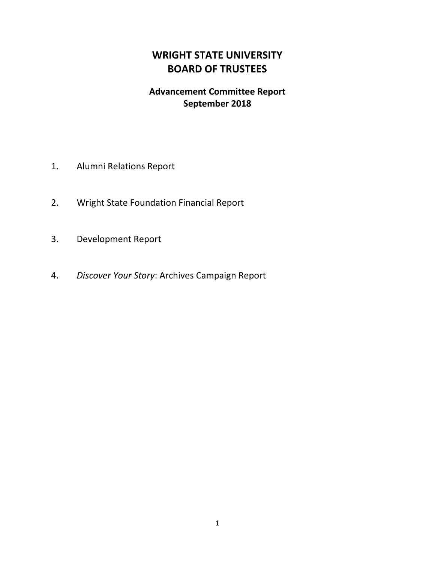# **WRIGHT STATE UNIVERSITY BOARD OF TRUSTEES**

# **Advancement Committee Report September 2018**

- 1. Alumni Relations Report
- 2. Wright State Foundation Financial Report
- 3. Development Report
- 4. *Discover Your Story*: Archives Campaign Report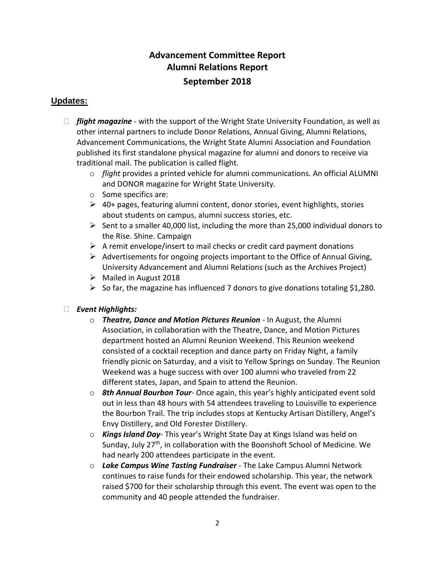# **Advancement Committee Report Alumni Relations Report September 2018**

# **Updates:**

- *flight magazine* with the support of the Wright State University Foundation, as well as other internal partners to include Donor Relations, Annual Giving, Alumni Relations, Advancement Communications, the Wright State Alumni Association and Foundation published its first standalone physical magazine for alumni and donors to receive via traditional mail. The publication is called flight.
	- o *flight* provides a printed vehicle for alumni communications. An official ALUMNI and DONOR magazine for Wright State University.
	- o Some specifics are:
	- $\triangleright$  40+ pages, featuring alumni content, donor stories, event highlights, stories about students on campus, alumni success stories, etc.
	- $\triangleright$  Sent to a smaller 40,000 list, including the more than 25,000 individual donors to the Rise. Shine. Campaign
	- $\triangleright$  A remit envelope/insert to mail checks or credit card payment donations
	- $\triangleright$  Advertisements for ongoing projects important to the Office of Annual Giving, University Advancement and Alumni Relations (such as the Archives Project)
	- $\triangleright$  Mailed in August 2018
	- $\triangleright$  So far, the magazine has influenced 7 donors to give donations totaling \$1,280.

# *Event Highlights:*

- o *Theatre, Dance and Motion Pictures Reunion* In August, the Alumni Association, in collaboration with the Theatre, Dance, and Motion Pictures department hosted an Alumni Reunion Weekend. This Reunion weekend consisted of a cocktail reception and dance party on Friday Night, a family friendly picnic on Saturday, and a visit to Yellow Springs on Sunday. The Reunion Weekend was a huge success with over 100 alumni who traveled from 22 different states, Japan, and Spain to attend the Reunion.
- o *8th Annual Bourbon Tour* Once again, this year's highly anticipated event sold out in less than 48 hours with 54 attendees traveling to Louisville to experience the Bourbon Trail. The trip includes stops at Kentucky Artisan Distillery, Angel's Envy Distillery, and Old Forester Distillery.
- o *Kings Island Day* This year's Wright State Day at Kings Island was held on Sunday, July 27<sup>th</sup>, in collaboration with the Boonshoft School of Medicine. We had nearly 200 attendees participate in the event.
- o *Lake Campus Wine Tasting Fundraiser* The Lake Campus Alumni Network continues to raise funds for their endowed scholarship. This year, the network raised \$700 for their scholarship through this event. The event was open to the community and 40 people attended the fundraiser.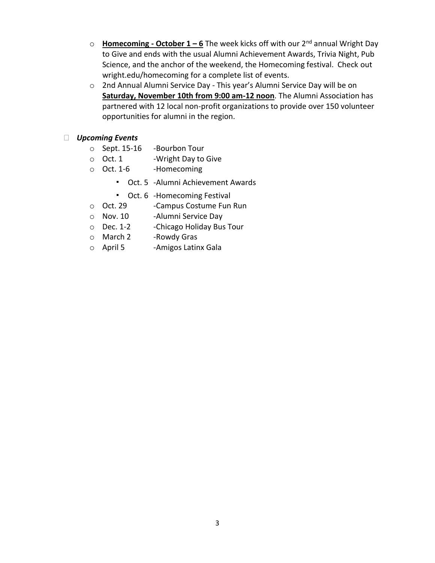- o **Homecoming - October 1 – 6** The week kicks off with our 2nd annual Wright Day to Give and ends with the usual Alumni Achievement Awards, Trivia Night, Pub Science, and the anchor of the weekend, the Homecoming festival. Check out wright.edu/homecoming for a complete list of events.
- o 2nd Annual Alumni Service Day This year's Alumni Service Day will be on **Saturday, November 10th from 9:00 am-12 noon**. The Alumni Association has partnered with 12 local non-profit organizations to provide over 150 volunteer opportunities for alumni in the region.

### *Upcoming Events*

- o Sept. 15-16 -Bourbon Tour
- o Oct. 1 -Wright Day to Give
- o Oct. 1-6 -Homecoming
	- Oct. 5 -Alumni Achievement Awards
	- Oct. 6 -Homecoming Festival
- o Oct. 29 -Campus Costume Fun Run
- o Nov. 10 -Alumni Service Day
- o Dec. 1-2 -Chicago Holiday Bus Tour
- o March 2 -Rowdy Gras
- o April 5 -Amigos Latinx Gala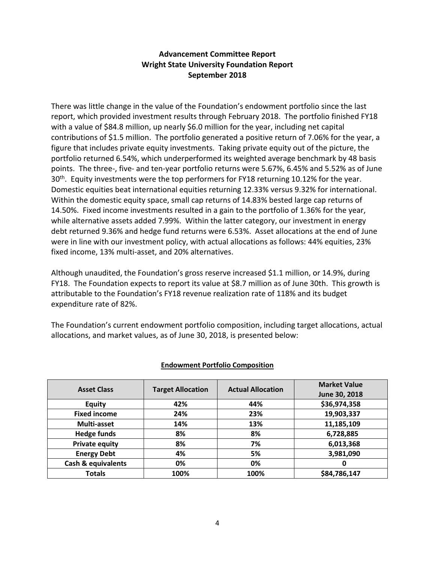# **Advancement Committee Report Wright State University Foundation Report September 2018**

There was little change in the value of the Foundation's endowment portfolio since the last report, which provided investment results through February 2018. The portfolio finished FY18 with a value of \$84.8 million, up nearly \$6.0 million for the year, including net capital contributions of \$1.5 million. The portfolio generated a positive return of 7.06% for the year, a figure that includes private equity investments. Taking private equity out of the picture, the portfolio returned 6.54%, which underperformed its weighted average benchmark by 48 basis points. The three-, five- and ten-year portfolio returns were 5.67%, 6.45% and 5.52% as of June 30<sup>th</sup>. Equity investments were the top performers for FY18 returning 10.12% for the year. Domestic equities beat international equities returning 12.33% versus 9.32% for international. Within the domestic equity space, small cap returns of 14.83% bested large cap returns of 14.50%. Fixed income investments resulted in a gain to the portfolio of 1.36% for the year, while alternative assets added 7.99%. Within the latter category, our investment in energy debt returned 9.36% and hedge fund returns were 6.53%. Asset allocations at the end of June were in line with our investment policy, with actual allocations as follows: 44% equities, 23% fixed income, 13% multi-asset, and 20% alternatives.

Although unaudited, the Foundation's gross reserve increased \$1.1 million, or 14.9%, during FY18. The Foundation expects to report its value at \$8.7 million as of June 30th. This growth is attributable to the Foundation's FY18 revenue realization rate of 118% and its budget expenditure rate of 82%.

The Foundation's current endowment portfolio composition, including target allocations, actual allocations, and market values, as of June 30, 2018, is presented below:

| <b>Asset Class</b>    | <b>Target Allocation</b> | <b>Actual Allocation</b> | <b>Market Value</b> |  |  |
|-----------------------|--------------------------|--------------------------|---------------------|--|--|
|                       |                          |                          | June 30, 2018       |  |  |
| <b>Equity</b>         | 42%                      | 44%                      | \$36,974,358        |  |  |
| <b>Fixed income</b>   | 24%                      | 23%                      | 19,903,337          |  |  |
| Multi-asset           | 14%                      | 13%                      | 11,185,109          |  |  |
| <b>Hedge funds</b>    | 8%                       | 8%                       | 6,728,885           |  |  |
| <b>Private equity</b> | 8%                       | 7%                       | 6,013,368           |  |  |
| <b>Energy Debt</b>    | 4%                       | 5%                       | 3,981,090           |  |  |
| Cash & equivalents    | 0%                       | 0%                       | 0                   |  |  |
| <b>Totals</b>         | 100%                     | 100%                     | \$84,786,147        |  |  |

### **Endowment Portfolio Composition**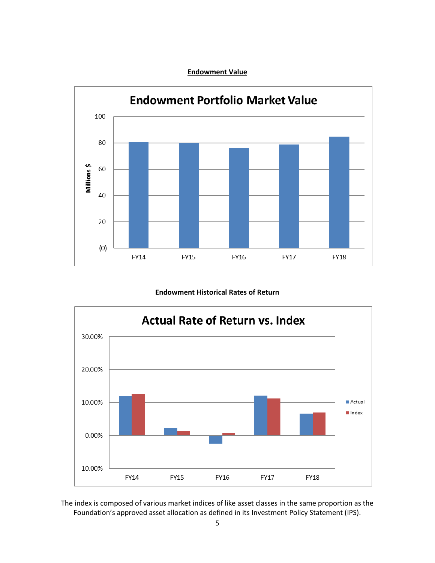#### **Endowment Value**



#### **Endowment Historical Rates of Return**



The index is composed of various market indices of like asset classes in the same proportion as the Foundation's approved asset allocation as defined in its Investment Policy Statement (IPS).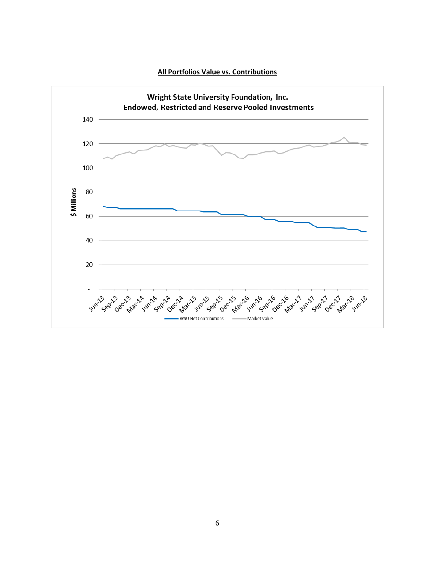

**All Portfolios Value vs. Contributions**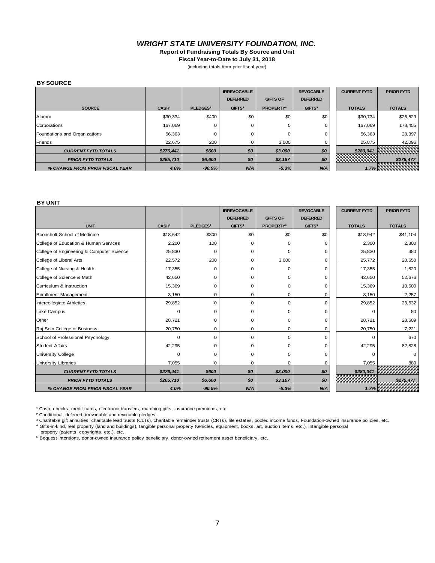#### *WRIGHT STATE UNIVERSITY FOUNDATION, INC.*

**Report of Fundraising Totals By Source and Unit**

**Fiscal Year-to-Date to July 31, 2018**

(including totals from prior fiscal year)

#### **BY SOURCE**

|                                 |              |                      | <b>IRREVOCABLE</b><br><b>DEFERRED</b> | <b>GIFTS OF</b>       | <b>REVOCABLE</b><br><b>DEFERRED</b> | <b>CURRENT FYTD</b> | <b>PRIOR FYTD</b> |
|---------------------------------|--------------|----------------------|---------------------------------------|-----------------------|-------------------------------------|---------------------|-------------------|
|                                 |              |                      |                                       |                       |                                     |                     |                   |
| <b>SOURCE</b>                   | <b>CASH'</b> | PLEDGES <sup>2</sup> | <b>GIFTS<sup>3</sup></b>              | PROPERTY <sup>4</sup> | <b>GIFTS<sup>5</sup></b>            | <b>TOTALS</b>       | <b>TOTALS</b>     |
| Alumni                          | \$30,334     | \$400                | \$0                                   | \$0                   | \$0                                 | \$30,734            | \$26,529          |
| Corporations                    | 167.069      | 0                    | 0                                     |                       | $\Omega$                            | 167.069             | 178,455           |
| Foundations and Organizations   | 56,363       |                      | 0                                     |                       | 0                                   | 56,363              | 28,397            |
| Friends                         | 22,675       | 200                  | 0                                     | 3,000                 |                                     | 25,875              | 42,096            |
| <b>CURRENT FYTD TOTALS</b>      | \$276,441    | \$600                | \$0                                   | \$3,000               | \$0                                 | \$280,041           | ,,,,,,,,,,,,,,,,, |
| <b>PRIOR FYTD TOTALS</b>        | \$265,710    | \$6,600              | \$0                                   | \$3,167               | \$0                                 |                     | \$275,477         |
| % CHANGE FROM PRIOR FISCAL YEAR | 4.0%         | $-90.9%$             | N/A                                   | $-5.3%$               | N/A                                 | $1.7\%$             | iiiiiiiiiiiiii    |

#### **BY UNIT**

|                                           |              |                      | <b>IRREVOCABLE</b>       |                       | <b>REVOCABLE</b>   | <b>CURRENT FYTD</b> | <b>PRIOR FYTD</b> |
|-------------------------------------------|--------------|----------------------|--------------------------|-----------------------|--------------------|---------------------|-------------------|
|                                           |              |                      | <b>DEFERRED</b>          | <b>GIFTS OF</b>       | <b>DEFERRED</b>    |                     |                   |
| <b>UNIT</b>                               | <b>CASH'</b> | PLEDGES <sup>2</sup> | <b>GIFTS<sup>3</sup></b> | PROPERTY <sup>4</sup> | GIFTS <sup>5</sup> | <b>TOTALS</b>       | <b>TOTALS</b>     |
| Boonshoft School of Medicine              | \$18,642     | \$300                | \$0                      | \$0                   | \$0                | \$18,942            | \$41,104          |
| College of Education & Human Services     | 2,200        | 100                  | 0                        |                       | O                  | 2,300               | 2,300             |
| College of Engineering & Computer Science | 25,830       | $\Omega$             | 0                        |                       | 0                  | 25,830              | 380               |
| College of Liberal Arts                   | 22,572       | 200                  | 0                        | 3,000                 | 0                  | 25,772              | 20,650            |
| College of Nursing & Health               | 17,355       | $\Omega$             | $\mathbf 0$              | $\Omega$              | $\Omega$           | 17,355              | 1,820             |
| College of Science & Math                 | 42,650       | O                    | 0                        |                       | $\Omega$           | 42,650              | 52,676            |
| Curriculum & Instruction                  | 15,369       | $\Omega$             | 0                        | U                     | $\Omega$           | 15,369              | 10,500            |
| <b>Enrollment Management</b>              | 3,150        | 0                    | 0                        | 0                     | $\mathbf 0$        | 3,150               | 2,257             |
| Intercollegiate Athletics                 | 29,852       | $\Omega$             | $\mathbf 0$              | $\Omega$              | $\Omega$           | 29,852              | 23,532            |
| Lake Campus                               | 0            | $\Omega$             | 0                        |                       | 0                  | $\Omega$            | 50                |
| Other                                     | 28,721       | O                    | 0                        | 0                     | $\Omega$           | 28,721              | 28,609            |
| Raj Soin College of Business              | 20,750       | 0                    | 0                        | 0                     | 0                  | 20,750              | 7,221             |
| School of Professional Psychology         | $\Omega$     | $\Omega$             | $\mathbf 0$              | $\Omega$              | $\Omega$           | $\Omega$            | 670               |
| <b>Student Affairs</b>                    | 42,295       | $\Omega$             | 0                        |                       | $\Omega$           | 42,295              | 82,828            |
| <b>University College</b>                 | $\Omega$     | $\Omega$             | 0                        |                       | $\Omega$           | $\Omega$            |                   |
| <b>University Libraries</b>               | 7,055        | 0                    | 0                        | ი                     | 0                  | 7,055               | 880               |
| <b>CURRENT FYTD TOTALS</b>                | \$276,441    | \$600                | \$0                      | \$3,000               | \$0                | \$280,041           |                   |
| <b>PRIOR FYTD TOTALS</b>                  | \$265,710    | \$6,600              | \$0                      | \$3,167               | \$0                |                     | \$275,477         |
| % CHANGE FROM PRIOR FISCAL YEAR           | 4.0%         | $-90.9%$             | N/A                      | $-5.3%$               | N/A                | 1.7%                |                   |

<sup>1</sup> Cash, checks, credit cards, electronic transfers, matching gifts, insurance premiums, etc.

² Conditional, deferred, irrevocable and revocable pledges.

³ Charitable gift annuities, charitable lead trusts (CLTs), charitable remainder trusts (CRTs), life estates, pooled income funds, Foundation-owned insurance policies, etc. ⁴ Gifts-in-kind, real property (land and buildings), tangible personal property (vehicles, equipment, books, art, auction items, etc.), intangible personal property (patents, copyrights, etc.), etc.

<sup>5</sup> Bequest intentions, donor-owned insurance policy beneficiary, donor-owned retirement asset beneficiary, etc.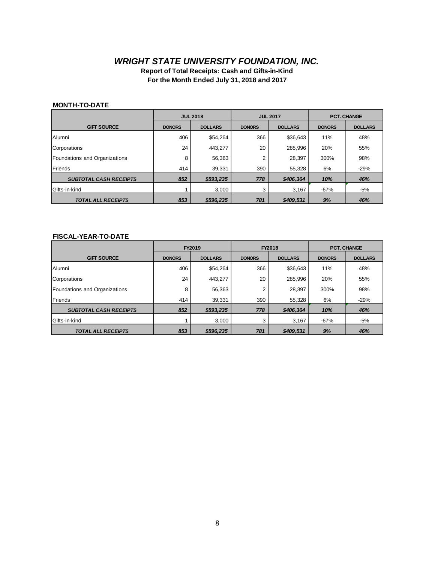# *WRIGHT STATE UNIVERSITY FOUNDATION, INC.*

**Report of Total Receipts: Cash and Gifts-in-Kind For the Month Ended July 31, 2018 and 2017**

#### **MONTH-TO-DATE**

|                               | <b>JUL 2018</b>                 |           | <b>JUL 2017</b>                 |           | <b>PCT. CHANGE</b> |                |
|-------------------------------|---------------------------------|-----------|---------------------------------|-----------|--------------------|----------------|
| <b>GIFT SOURCE</b>            | <b>DOLLARS</b><br><b>DONORS</b> |           | <b>DONORS</b><br><b>DOLLARS</b> |           | <b>DONORS</b>      | <b>DOLLARS</b> |
| Alumni                        | 406                             | \$54,264  | 366                             | \$36,643  | 11%                | 48%            |
| Corporations                  | 24                              | 443,277   | 20                              | 285,996   | 20%                | 55%            |
| Foundations and Organizations | 8                               | 56,363    | $\overline{2}$                  | 28,397    | 300%               | 98%            |
| Friends                       | 414                             | 39,331    | 390                             | 55.328    | 6%                 | $-29%$         |
| <b>SUBTOTAL CASH RECEIPTS</b> | 852                             | \$593,235 | 778                             | \$406,364 | 10%                | 46%            |
| Gifts-in-kind                 |                                 | 3,000     | 3                               | 3,167     | $-67%$             | -5%            |
| <b>TOTAL ALL RECEIPTS</b>     | 853                             | \$596.235 | 781                             | \$409,531 | 9%                 | 46%            |

#### **FISCAL-YEAR-TO-DATE**

|                               | FY2019                          |           | FY2018        |                | <b>PCT. CHANGE</b> |                |
|-------------------------------|---------------------------------|-----------|---------------|----------------|--------------------|----------------|
| <b>GIFT SOURCE</b>            | <b>DOLLARS</b><br><b>DONORS</b> |           | <b>DONORS</b> | <b>DOLLARS</b> | <b>DONORS</b>      | <b>DOLLARS</b> |
| Alumni                        | 406                             | \$54,264  | 366           | \$36,643       | 11%                | 48%            |
| Corporations                  | 24                              | 443,277   | 20            | 285,996        | 20%                | 55%            |
| Foundations and Organizations | 8                               | 56,363    | 2             | 28.397         | 300%               | 98%            |
| Friends                       | 414                             | 39,331    | 390           | 55,328         | 6%                 | $-29%$         |
| <b>SUBTOTAL CASH RECEIPTS</b> | 852                             | \$593,235 | 778           | \$406.364      | 10%                | 46%            |
| Gifts-in-kind                 |                                 | 3,000     | 3             | 3,167          | $-67%$             | -5%            |
| <b>TOTAL ALL RECEIPTS</b>     | 853                             | \$596.235 | 781           | \$409.531      | 9%                 | 46%            |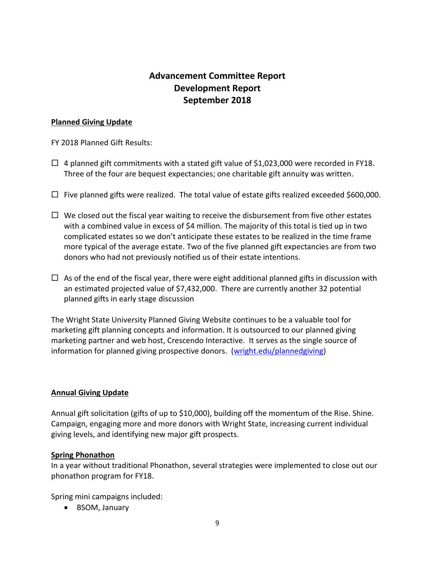# **Advancement Committee Report Development Report September 2018**

### **Planned Giving Update**

FY 2018 Planned Gift Results:

- $\Box$  4 planned gift commitments with a stated gift value of \$1,023,000 were recorded in FY18. Three of the four are bequest expectancies; one charitable gift annuity was written.
- $\Box$  Five planned gifts were realized. The total value of estate gifts realized exceeded \$600,000.
- $\Box$  We closed out the fiscal year waiting to receive the disbursement from five other estates with a combined value in excess of \$4 million. The majority of this total is tied up in two complicated estates so we don't anticipate these estates to be realized in the time frame more typical of the average estate. Two of the five planned gift expectancies are from two donors who had not previously notified us of their estate intentions.
- $\Box$  As of the end of the fiscal year, there were eight additional planned gifts in discussion with an estimated projected value of \$7,432,000. There are currently another 32 potential planned gifts in early stage discussion

The Wright State University Planned Giving Website continues to be a valuable tool for marketing gift planning concepts and information. It is outsourced to our planned giving marketing partner and web host, Crescendo Interactive. It serves as the single source of information for planned giving prospective donors. [\(wright.edu/plannedgiving\)](https://wright.giftlegacy.com/)

### **Annual Giving Update**

Annual gift solicitation (gifts of up to \$10,000), building off the momentum of the Rise. Shine. Campaign, engaging more and more donors with Wright State, increasing current individual giving levels, and identifying new major gift prospects.

# **Spring Phonathon**

In a year without traditional Phonathon, several strategies were implemented to close out our phonathon program for FY18.

Spring mini campaigns included:

• BSOM, January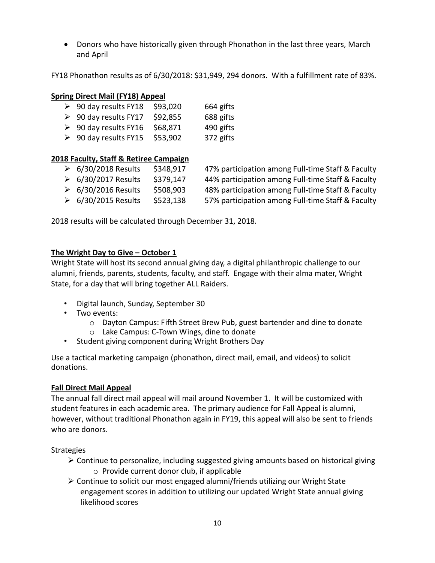Donors who have historically given through Phonathon in the last three years, March and April

FY18 Phonathon results as of 6/30/2018: \$31,949, 294 donors. With a fulfillment rate of 83%.

### **Spring Direct Mail (FY18) Appeal**

| $\geqslant$ 90 day results FY18 | \$93,020 | 664 gifts |
|---------------------------------|----------|-----------|
| $\geqslant$ 90 day results FY17 | \$92,855 | 688 gifts |
| $\geqslant$ 90 day results FY16 | \$68,871 | 490 gifts |

 $\geqslant$  90 day results FY15 \$53,902 372 gifts

### **2018 Faculty, Staff & Retiree Campaign**

 $\triangleright$  6/30/2018 Results  $\cdot$  \$348,917 47% participation among Full-time Staff & Faculty 6/30/2017 Results \$379,147 44% participation among Full-time Staff & Faculty 6/30/2016 Results \$508,903 48% participation among Full-time Staff & Faculty 6/30/2015 Results \$523,138 57% participation among Full-time Staff & Faculty

2018 results will be calculated through December 31, 2018.

### **The Wright Day to Give – October 1**

Wright State will host its second annual giving day, a digital philanthropic challenge to our alumni, friends, parents, students, faculty, and staff. Engage with their alma mater, Wright State, for a day that will bring together ALL Raiders.

- Digital launch, Sunday, September 30
- Two events:
	- $\circ$  Dayton Campus: Fifth Street Brew Pub, guest bartender and dine to donate
	- o Lake Campus: C-Town Wings, dine to donate
- Student giving component during Wright Brothers Day

Use a tactical marketing campaign (phonathon, direct mail, email, and videos) to solicit donations.

# **Fall Direct Mail Appeal**

The annual fall direct mail appeal will mail around November 1. It will be customized with student features in each academic area. The primary audience for Fall Appeal is alumni, however, without traditional Phonathon again in FY19, this appeal will also be sent to friends who are donors.

# **Strategies**

- $\triangleright$  Continue to personalize, including suggested giving amounts based on historical giving o Provide current donor club, if applicable
- $\triangleright$  Continue to solicit our most engaged alumni/friends utilizing our Wright State engagement scores in addition to utilizing our updated Wright State annual giving likelihood scores